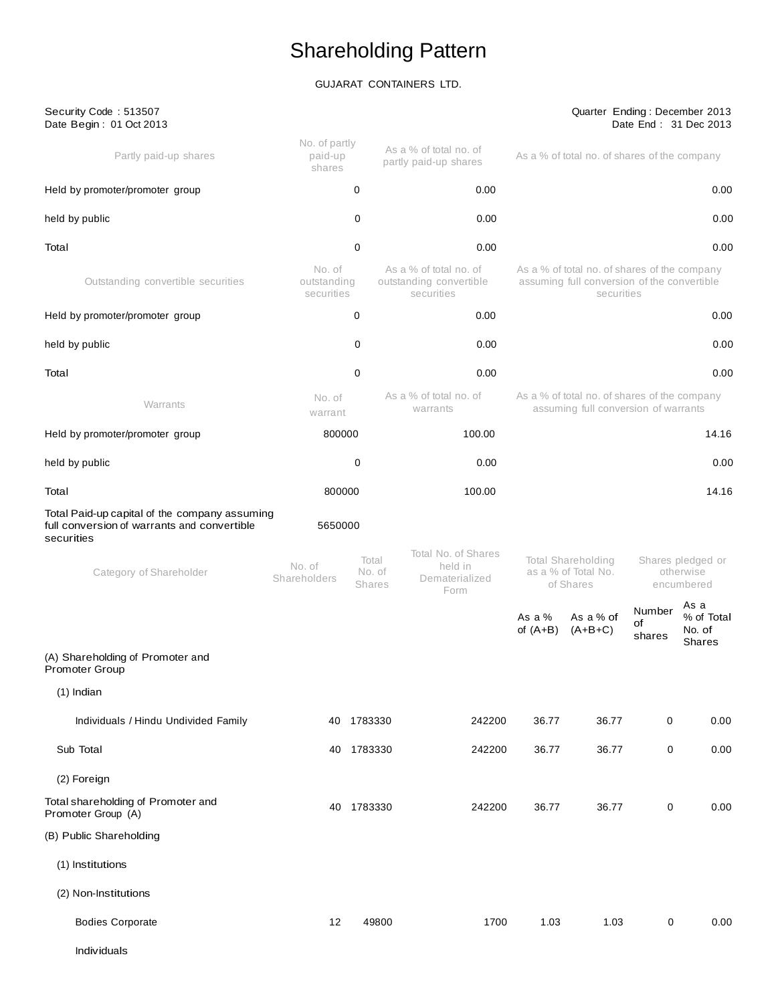# Shareholding Pattern

# GUJARAT CONTAINERS LTD.

| Security Code: 513507<br>Date Begin: 01 Oct 2013                                                           |                                     |                           |                                                                 |                                                                                                           |                                                                                      |                        | Quarter Ending: December 2013<br>Date End: 31 Dec 2013 |
|------------------------------------------------------------------------------------------------------------|-------------------------------------|---------------------------|-----------------------------------------------------------------|-----------------------------------------------------------------------------------------------------------|--------------------------------------------------------------------------------------|------------------------|--------------------------------------------------------|
| Partly paid-up shares                                                                                      | No. of partly<br>paid-up<br>shares  |                           | As a % of total no. of<br>partly paid-up shares                 |                                                                                                           | As a % of total no. of shares of the company                                         |                        |                                                        |
| Held by promoter/promoter group                                                                            |                                     | 0                         | 0.00                                                            |                                                                                                           |                                                                                      |                        | 0.00                                                   |
| held by public                                                                                             |                                     | 0                         | 0.00                                                            |                                                                                                           |                                                                                      |                        | 0.00                                                   |
| Total                                                                                                      |                                     | 0                         | 0.00                                                            |                                                                                                           |                                                                                      |                        | 0.00                                                   |
| Outstanding convertible securities                                                                         | No. of<br>outstanding<br>securities |                           | As a % of total no. of<br>outstanding convertible<br>securities | As a % of total no. of shares of the company<br>assuming full conversion of the convertible<br>securities |                                                                                      |                        |                                                        |
| Held by promoter/promoter group                                                                            |                                     | 0                         | 0.00                                                            |                                                                                                           |                                                                                      |                        | 0.00                                                   |
| held by public                                                                                             |                                     | 0                         | 0.00                                                            |                                                                                                           |                                                                                      |                        | 0.00                                                   |
| Total                                                                                                      |                                     | 0                         | 0.00                                                            |                                                                                                           |                                                                                      |                        | 0.00                                                   |
| Warrants                                                                                                   | No. of<br>warrant                   |                           | As a % of total no. of<br>warrants                              |                                                                                                           | As a % of total no. of shares of the company<br>assuming full conversion of warrants |                        |                                                        |
| Held by promoter/promoter group                                                                            | 800000                              |                           | 100.00                                                          |                                                                                                           |                                                                                      |                        | 14.16                                                  |
| held by public                                                                                             |                                     | 0                         | 0.00                                                            |                                                                                                           |                                                                                      |                        | 0.00                                                   |
| Total                                                                                                      | 800000                              |                           | 100.00                                                          |                                                                                                           |                                                                                      |                        | 14.16                                                  |
| Total Paid-up capital of the company assuming<br>full conversion of warrants and convertible<br>securities | 5650000                             |                           |                                                                 |                                                                                                           |                                                                                      |                        |                                                        |
| Category of Shareholder                                                                                    | No. of<br>Shareholders              | Total<br>No. of<br>Shares | Total No. of Shares<br>held in<br>Dematerialized<br>Form        |                                                                                                           | Total Shareholding<br>as a % of Total No.<br>of Shares                               |                        | Shares pledged or<br>otherwise<br>encumbered           |
|                                                                                                            |                                     |                           |                                                                 | As a $%$<br>of $(A+B)$                                                                                    | As a % of<br>$(A+B+C)$                                                               | Number<br>οf<br>shares | As a<br>% of Total<br>No. of<br><b>Shares</b>          |
| (A) Shareholding of Promoter and<br>Promoter Group                                                         |                                     |                           |                                                                 |                                                                                                           |                                                                                      |                        |                                                        |
| $(1)$ Indian                                                                                               |                                     |                           |                                                                 |                                                                                                           |                                                                                      |                        |                                                        |
| Individuals / Hindu Undivided Family                                                                       | 40                                  | 1783330                   | 242200                                                          | 36.77                                                                                                     | 36.77                                                                                | 0                      | 0.00                                                   |
| Sub Total                                                                                                  | 40                                  | 1783330                   | 242200                                                          | 36.77                                                                                                     | 36.77                                                                                | 0                      | 0.00                                                   |
| (2) Foreign                                                                                                |                                     |                           |                                                                 |                                                                                                           |                                                                                      |                        |                                                        |
| Total shareholding of Promoter and<br>Promoter Group (A)                                                   |                                     | 40 1783330                | 242200                                                          | 36.77                                                                                                     | 36.77                                                                                | 0                      | 0.00                                                   |
| (B) Public Shareholding                                                                                    |                                     |                           |                                                                 |                                                                                                           |                                                                                      |                        |                                                        |
| (1) Institutions                                                                                           |                                     |                           |                                                                 |                                                                                                           |                                                                                      |                        |                                                        |
| (2) Non-Institutions                                                                                       |                                     |                           |                                                                 |                                                                                                           |                                                                                      |                        |                                                        |
| <b>Bodies Corporate</b>                                                                                    | 12                                  | 49800                     | 1700                                                            | 1.03                                                                                                      | 1.03                                                                                 | 0                      | 0.00                                                   |
| Individuals                                                                                                |                                     |                           |                                                                 |                                                                                                           |                                                                                      |                        |                                                        |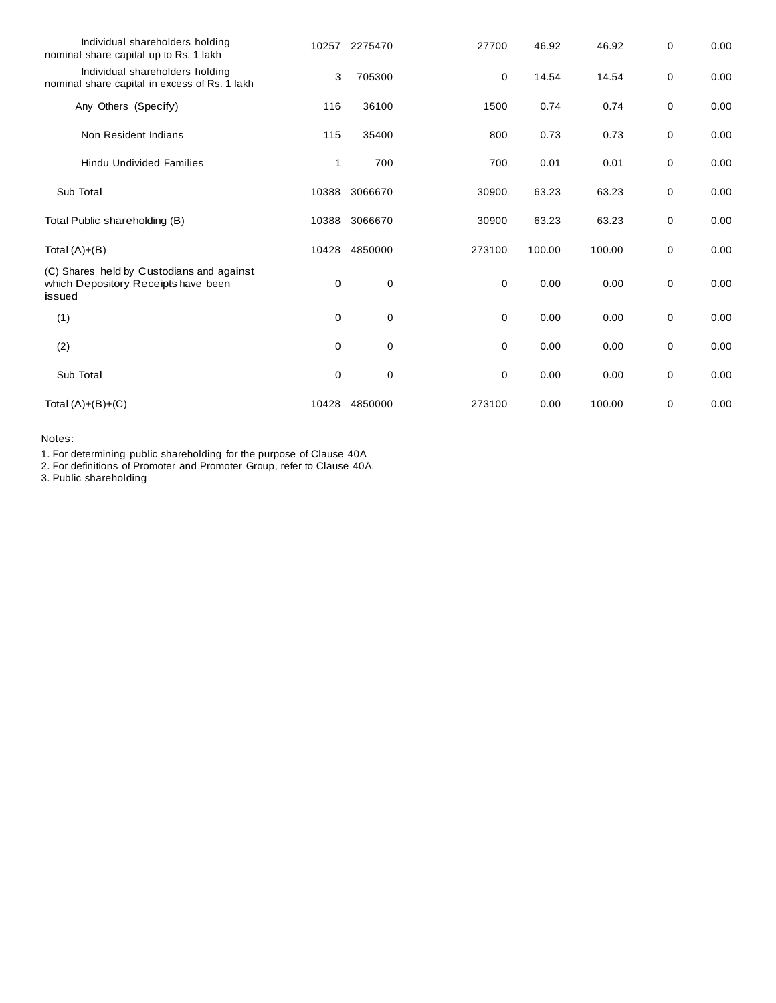| Individual shareholders holding<br>nominal share capital up to Rs. 1 lakh                  | 10257       | 2275470     | 27700       | 46.92  | 46.92  | 0 | 0.00 |
|--------------------------------------------------------------------------------------------|-------------|-------------|-------------|--------|--------|---|------|
| Individual shareholders holding<br>nominal share capital in excess of Rs. 1 lakh           | 3           | 705300      | 0           | 14.54  | 14.54  | 0 | 0.00 |
| Any Others (Specify)                                                                       | 116         | 36100       | 1500        | 0.74   | 0.74   | 0 | 0.00 |
| Non Resident Indians                                                                       | 115         | 35400       | 800         | 0.73   | 0.73   | 0 | 0.00 |
| <b>Hindu Undivided Families</b>                                                            | 1           | 700         | 700         | 0.01   | 0.01   | 0 | 0.00 |
| Sub Total                                                                                  | 10388       | 3066670     | 30900       | 63.23  | 63.23  | 0 | 0.00 |
| Total Public shareholding (B)                                                              | 10388       | 3066670     | 30900       | 63.23  | 63.23  | 0 | 0.00 |
| Total $(A)+(B)$                                                                            | 10428       | 4850000     | 273100      | 100.00 | 100.00 | 0 | 0.00 |
| (C) Shares held by Custodians and against<br>which Depository Receipts have been<br>issued | 0           | 0           | 0           | 0.00   | 0.00   | 0 | 0.00 |
| (1)                                                                                        | $\mathbf 0$ | $\mathbf 0$ | $\mathbf 0$ | 0.00   | 0.00   | 0 | 0.00 |
| (2)                                                                                        | 0           | 0           | 0           | 0.00   | 0.00   | 0 | 0.00 |
| Sub Total                                                                                  | 0           | 0           | 0           | 0.00   | 0.00   | 0 | 0.00 |
| Total $(A)+(B)+(C)$                                                                        | 10428       | 4850000     | 273100      | 0.00   | 100.00 | 0 | 0.00 |

Notes:

1. For determining public shareholding for the purpose of Clause 40A

2. For definitions of Promoter and Promoter Group, refer to Clause 40A.

3. Public shareholding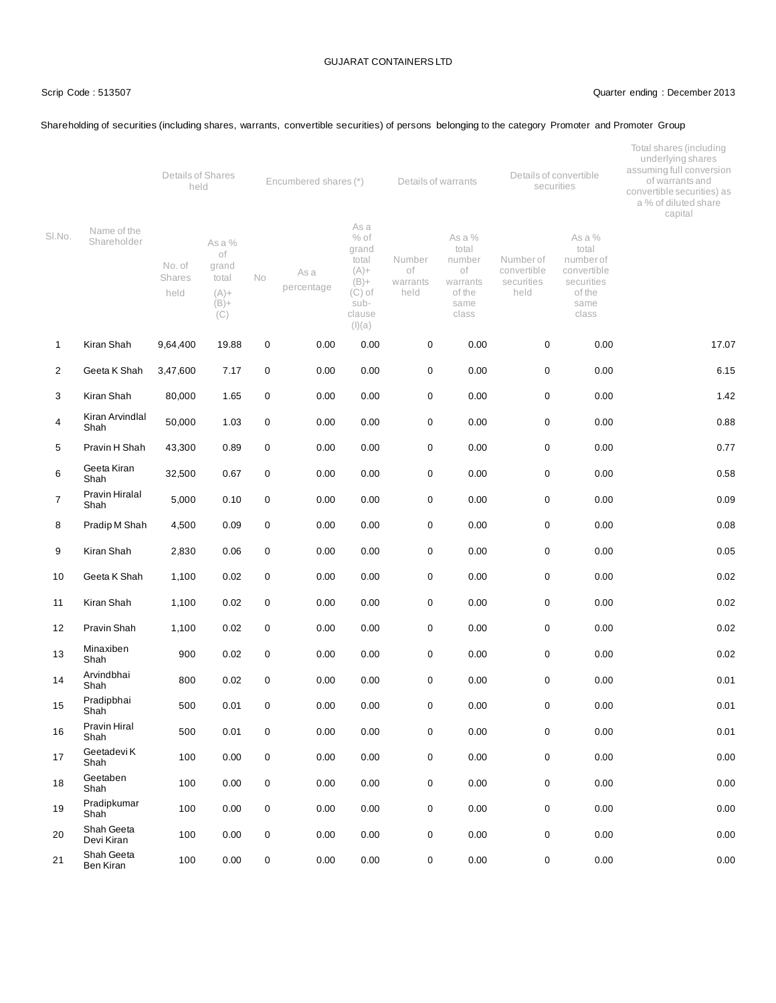#### Scrip Code : 513507 Quarter ending : December 2013

## Shareholding of securities (including shares, warrants, convertible securities) of persons belonging to the category Promoter and Promoter Group

|                |                               | Details of Shares<br>held       |                                                             | Encumbered shares (*) |                    |                                                                                      | Details of warrants              |                                                                        | Details of convertible<br>securities          |                                                                                      | Total shares (including<br>underlying shares<br>assuming full conversion<br>of warrants and<br>convertible securities) as<br>a % of diluted share<br>capital |  |
|----------------|-------------------------------|---------------------------------|-------------------------------------------------------------|-----------------------|--------------------|--------------------------------------------------------------------------------------|----------------------------------|------------------------------------------------------------------------|-----------------------------------------------|--------------------------------------------------------------------------------------|--------------------------------------------------------------------------------------------------------------------------------------------------------------|--|
| SI.No.         | Name of the<br>Shareholder    | No. of<br><b>Shares</b><br>held | As a %<br>оf<br>grand<br>total<br>$(A) +$<br>$(B) +$<br>(C) | <b>No</b>             | As a<br>percentage | As a<br>$%$ of<br>grand<br>total<br>$(A) +$<br>$(B) +$<br>$(C)$ of<br>sub-<br>clause | Number<br>οf<br>warrants<br>held | As a %<br>total<br>number<br>оf<br>warrants<br>of the<br>same<br>class | Numberof<br>convertible<br>securities<br>held | As a %<br>total<br>number of<br>convertible<br>securities<br>of the<br>same<br>class |                                                                                                                                                              |  |
| 1              | Kiran Shah                    | 9,64,400                        | 19.88                                                       | 0                     | 0.00               | (I)(a)<br>0.00                                                                       | 0                                | 0.00                                                                   | 0                                             | 0.00                                                                                 | 17.07                                                                                                                                                        |  |
|                |                               |                                 |                                                             |                       |                    |                                                                                      |                                  |                                                                        |                                               |                                                                                      |                                                                                                                                                              |  |
| 2              | Geeta K Shah                  | 3,47,600                        | 7.17                                                        | 0                     | 0.00               | 0.00                                                                                 | 0                                | 0.00                                                                   | 0                                             | 0.00                                                                                 | 6.15                                                                                                                                                         |  |
| 3              | Kiran Shah<br>Kiran Arvindlal | 80,000                          | 1.65                                                        | 0                     | 0.00               | 0.00                                                                                 | 0                                | 0.00                                                                   | 0                                             | 0.00                                                                                 | 1.42                                                                                                                                                         |  |
| 4              | Shah                          | 50,000                          | 1.03                                                        | 0                     | 0.00               | 0.00                                                                                 | 0                                | 0.00                                                                   | 0                                             | 0.00                                                                                 | 0.88                                                                                                                                                         |  |
| 5              | Pravin H Shah                 | 43,300                          | 0.89                                                        | 0                     | 0.00               | 0.00                                                                                 | 0                                | 0.00                                                                   | 0                                             | 0.00                                                                                 | 0.77                                                                                                                                                         |  |
| 6              | Geeta Kiran<br>Shah           | 32,500                          | 0.67                                                        | 0                     | 0.00               | 0.00                                                                                 | 0                                | 0.00                                                                   | 0                                             | 0.00                                                                                 | 0.58                                                                                                                                                         |  |
| $\overline{7}$ | Pravin Hiralal<br>Shah        | 5,000                           | 0.10                                                        | 0                     | 0.00               | 0.00                                                                                 | $\mathbf 0$                      | 0.00                                                                   | 0                                             | 0.00                                                                                 | 0.09                                                                                                                                                         |  |
| 8              | Pradip M Shah                 | 4,500                           | 0.09                                                        | 0                     | 0.00               | 0.00                                                                                 | 0                                | 0.00                                                                   | 0                                             | 0.00                                                                                 | 0.08                                                                                                                                                         |  |
| 9              | Kiran Shah                    | 2,830                           | 0.06                                                        | 0                     | 0.00               | 0.00                                                                                 | 0                                | 0.00                                                                   | 0                                             | 0.00                                                                                 | 0.05                                                                                                                                                         |  |
| 10             | Geeta K Shah                  | 1,100                           | 0.02                                                        | 0                     | 0.00               | 0.00                                                                                 | 0                                | 0.00                                                                   | 0                                             | 0.00                                                                                 | 0.02                                                                                                                                                         |  |
| 11             | Kiran Shah                    | 1,100                           | 0.02                                                        | 0                     | 0.00               | 0.00                                                                                 | 0                                | 0.00                                                                   | 0                                             | 0.00                                                                                 | 0.02                                                                                                                                                         |  |
| 12             | Pravin Shah                   | 1,100                           | 0.02                                                        | 0                     | 0.00               | 0.00                                                                                 | 0                                | 0.00                                                                   | 0                                             | 0.00                                                                                 | 0.02                                                                                                                                                         |  |
| 13             | Minaxiben<br>Shah             | 900                             | 0.02                                                        | 0                     | 0.00               | 0.00                                                                                 | 0                                | 0.00                                                                   | 0                                             | 0.00                                                                                 | 0.02                                                                                                                                                         |  |
| 14             | Arvindbhai<br>Shah            | 800                             | 0.02                                                        | 0                     | 0.00               | 0.00                                                                                 | 0                                | 0.00                                                                   | 0                                             | 0.00                                                                                 | 0.01                                                                                                                                                         |  |
| 15             | Pradipbhai<br>Shah            | 500                             | 0.01                                                        | 0                     | 0.00               | 0.00                                                                                 | 0                                | 0.00                                                                   | 0                                             | 0.00                                                                                 | 0.01                                                                                                                                                         |  |
| 16             | Pravin Hiral<br>Shah          | 500                             | 0.01                                                        | 0                     | 0.00               | 0.00                                                                                 | 0                                | 0.00                                                                   | 0                                             | 0.00                                                                                 | 0.01                                                                                                                                                         |  |
| 17             | Geetadevi K<br>Shah           | 100                             | 0.00                                                        | 0                     | 0.00               | 0.00                                                                                 | 0                                | 0.00                                                                   | $\pmb{0}$                                     | 0.00                                                                                 | 0.00                                                                                                                                                         |  |
| 18             | Geetaben<br>Shah              | 100                             | 0.00                                                        | 0                     | 0.00               | 0.00                                                                                 | 0                                | 0.00                                                                   | 0                                             | 0.00                                                                                 | 0.00                                                                                                                                                         |  |
| 19             | Pradipkumar<br>Shah           | 100                             | 0.00                                                        | 0                     | 0.00               | 0.00                                                                                 | 0                                | 0.00                                                                   | 0                                             | 0.00                                                                                 | 0.00                                                                                                                                                         |  |
| 20             | Shah Geeta<br>Devi Kiran      | 100                             | 0.00                                                        | 0                     | 0.00               | 0.00                                                                                 | 0                                | 0.00                                                                   | 0                                             | 0.00                                                                                 | 0.00                                                                                                                                                         |  |
| 21             | Shah Geeta<br>Ben Kiran       | 100                             | 0.00                                                        | 0                     | 0.00               | 0.00                                                                                 | 0                                | 0.00                                                                   | 0                                             | 0.00                                                                                 | 0.00                                                                                                                                                         |  |
|                |                               |                                 |                                                             |                       |                    |                                                                                      |                                  |                                                                        |                                               |                                                                                      |                                                                                                                                                              |  |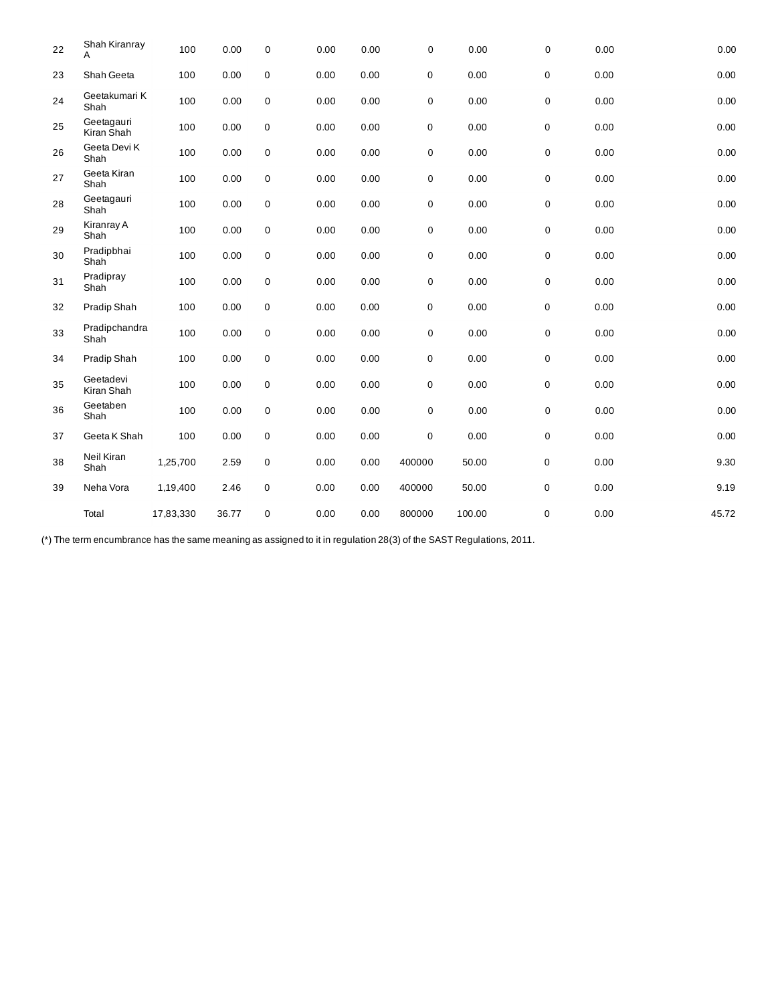| 22 | Shah Kiranray<br>A       | 100       | 0.00  | $\mathbf 0$ | 0.00 | 0.00 | 0           | 0.00   | 0 | 0.00 | 0.00     |
|----|--------------------------|-----------|-------|-------------|------|------|-------------|--------|---|------|----------|
| 23 | Shah Geeta               | 100       | 0.00  | $\pmb{0}$   | 0.00 | 0.00 | $\mathbf 0$ | 0.00   | 0 | 0.00 | 0.00     |
| 24 | Geetakumari K<br>Shah    | 100       | 0.00  | $\mathbf 0$ | 0.00 | 0.00 | 0           | 0.00   | 0 | 0.00 | 0.00     |
| 25 | Geetagauri<br>Kiran Shah | 100       | 0.00  | $\pmb{0}$   | 0.00 | 0.00 | $\mathbf 0$ | 0.00   | 0 | 0.00 | 0.00     |
| 26 | Geeta Devi K<br>Shah     | 100       | 0.00  | $\mathbf 0$ | 0.00 | 0.00 | 0           | 0.00   | 0 | 0.00 | 0.00     |
| 27 | Geeta Kiran<br>Shah      | 100       | 0.00  | $\mathsf 0$ | 0.00 | 0.00 | 0           | 0.00   | 0 | 0.00 | 0.00     |
| 28 | Geetagauri<br>Shah       | 100       | 0.00  | $\mathbf 0$ | 0.00 | 0.00 | $\pmb{0}$   | 0.00   | 0 | 0.00 | 0.00     |
| 29 | Kiranray A<br>Shah       | 100       | 0.00  | $\mathsf 0$ | 0.00 | 0.00 | 0           | 0.00   | 0 | 0.00 | 0.00     |
| 30 | Pradipbhai<br>Shah       | 100       | 0.00  | $\mathsf 0$ | 0.00 | 0.00 | 0           | 0.00   | 0 | 0.00 | 0.00     |
| 31 | Pradipray<br>Shah        | 100       | 0.00  | $\mathsf 0$ | 0.00 | 0.00 | 0           | 0.00   | 0 | 0.00 | 0.00     |
| 32 | Pradip Shah              | 100       | 0.00  | $\mathsf 0$ | 0.00 | 0.00 | $\mathbf 0$ | 0.00   | 0 | 0.00 | 0.00     |
| 33 | Pradipchandra<br>Shah    | 100       | 0.00  | $\mathsf 0$ | 0.00 | 0.00 | 0           | 0.00   | 0 | 0.00 | $0.00\,$ |
| 34 | Pradip Shah              | 100       | 0.00  | $\mathsf 0$ | 0.00 | 0.00 | $\mathbf 0$ | 0.00   | 0 | 0.00 | 0.00     |
| 35 | Geetadevi<br>Kiran Shah  | 100       | 0.00  | $\mathsf 0$ | 0.00 | 0.00 | $\mathsf 0$ | 0.00   | 0 | 0.00 | 0.00     |
| 36 | Geetaben<br>Shah         | 100       | 0.00  | $\mathbf 0$ | 0.00 | 0.00 | 0           | 0.00   | 0 | 0.00 | 0.00     |
| 37 | Geeta K Shah             | 100       | 0.00  | $\mathsf 0$ | 0.00 | 0.00 | $\mathsf 0$ | 0.00   | 0 | 0.00 | 0.00     |
| 38 | Neil Kiran<br>Shah       | 1,25,700  | 2.59  | $\pmb{0}$   | 0.00 | 0.00 | 400000      | 50.00  | 0 | 0.00 | 9.30     |
| 39 | Neha Vora                | 1,19,400  | 2.46  | $\pmb{0}$   | 0.00 | 0.00 | 400000      | 50.00  | 0 | 0.00 | 9.19     |
|    | Total                    | 17,83,330 | 36.77 | $\mathbf 0$ | 0.00 | 0.00 | 800000      | 100.00 | 0 | 0.00 | 45.72    |

(\*) The term encumbrance has the same meaning as assigned to it in regulation 28(3) of the SAST Regulations, 2011.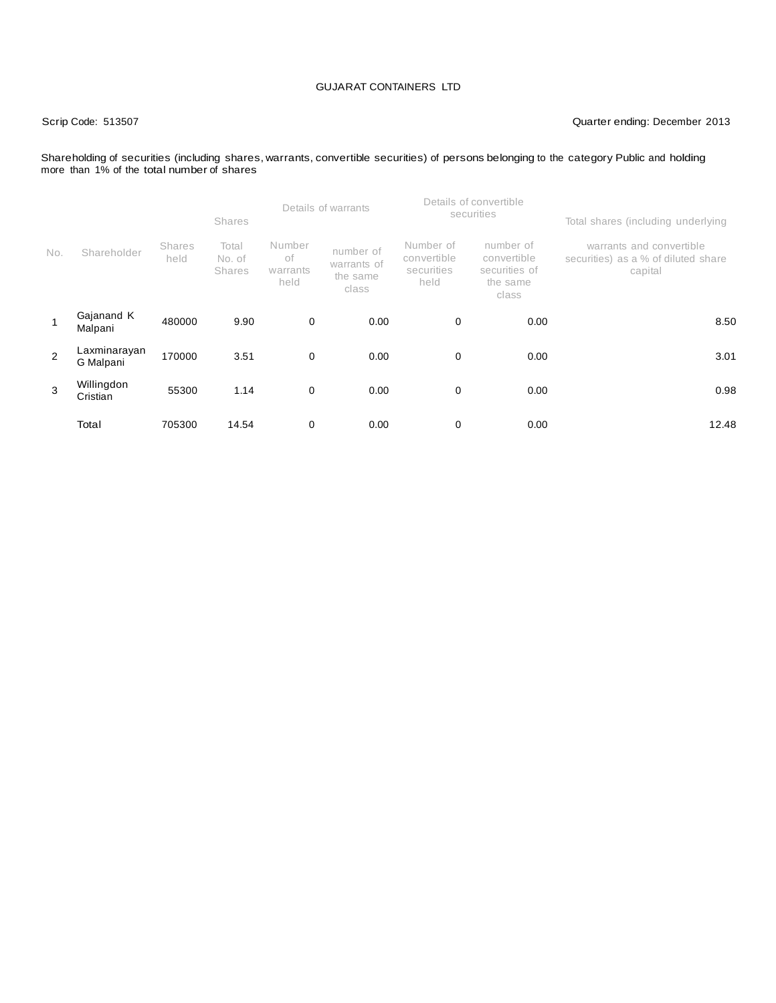#### Scrip Code: 513507 Quarter ending: December 2013

#### Shareholding of securities (including shares, warrants, convertible securities) of persons belonging to the category Public and holding more than 1% of the total number of shares

|     |                           |                       | <b>Shares</b>                    | Details of warrants              |                                               |                                                | Details of convertible<br>securities                           | Total shares (including underlying                                         |  |
|-----|---------------------------|-----------------------|----------------------------------|----------------------------------|-----------------------------------------------|------------------------------------------------|----------------------------------------------------------------|----------------------------------------------------------------------------|--|
| No. | Shareholder               | <b>Shares</b><br>held | Total<br>No. of<br><b>Shares</b> | Number<br>оf<br>warrants<br>held | number of<br>warrants of<br>the same<br>class | Number of<br>convertible<br>securities<br>held | number of<br>convertible<br>securities of<br>the same<br>class | warrants and convertible<br>securities) as a % of diluted share<br>capital |  |
|     | Gajanand K<br>Malpani     | 480000                | 9.90                             | 0                                | 0.00                                          | 0                                              | 0.00                                                           | 8.50                                                                       |  |
| 2   | Laxminarayan<br>G Malpani | 170000                | 3.51                             | 0                                | 0.00                                          | 0                                              | 0.00                                                           | 3.01                                                                       |  |
| 3   | Willingdon<br>Cristian    | 55300                 | 1.14                             | $\mathbf 0$                      | 0.00                                          | 0                                              | 0.00                                                           | 0.98                                                                       |  |
|     | Total                     | 705300                | 14.54                            | 0                                | 0.00                                          | 0                                              | 0.00                                                           | 12.48                                                                      |  |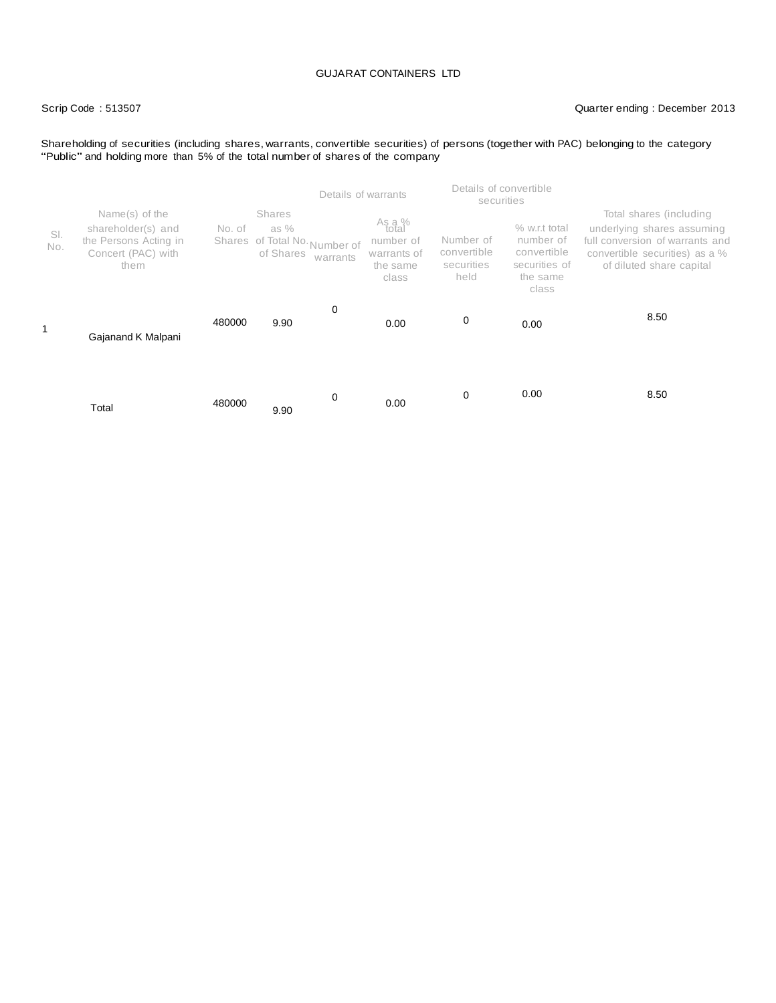#### Scrip Code : 513507 Quarter ending : December 2013

Shareholding of securities (including shares, warrants, convertible securities) of persons (together with PAC) belonging to the category<br>"Public" and holding more than 5% of the total number of shares of the company

|            |                                                                                             |        |                                                                                 | Details of warrants                                              | securities                                     | Details of convertible                                                          |                                                                                                                                                        |
|------------|---------------------------------------------------------------------------------------------|--------|---------------------------------------------------------------------------------|------------------------------------------------------------------|------------------------------------------------|---------------------------------------------------------------------------------|--------------------------------------------------------------------------------------------------------------------------------------------------------|
| SI.<br>No. | Name(s) of the<br>shareholder(s) and<br>the Persons Acting in<br>Concert (PAC) with<br>them | No. of | <b>Shares</b><br>as %<br>Shares of Total No. Number of<br>of Shares<br>warrants | As a %<br>total<br>number of<br>warrants of<br>the same<br>class | Number of<br>convertible<br>securities<br>held | % w.r.t total<br>number of<br>convertible<br>securities of<br>the same<br>class | Total shares (including<br>underlying shares assuming<br>full conversion of warrants and<br>convertible securities) as a %<br>of diluted share capital |
| 1          | Gajanand K Malpani                                                                          | 480000 | 0<br>9.90                                                                       | 0.00                                                             | 0                                              | 0.00                                                                            | 8.50                                                                                                                                                   |
|            | Total                                                                                       | 480000 | 0<br>9.90                                                                       | 0.00                                                             | 0                                              | 0.00                                                                            | 8.50                                                                                                                                                   |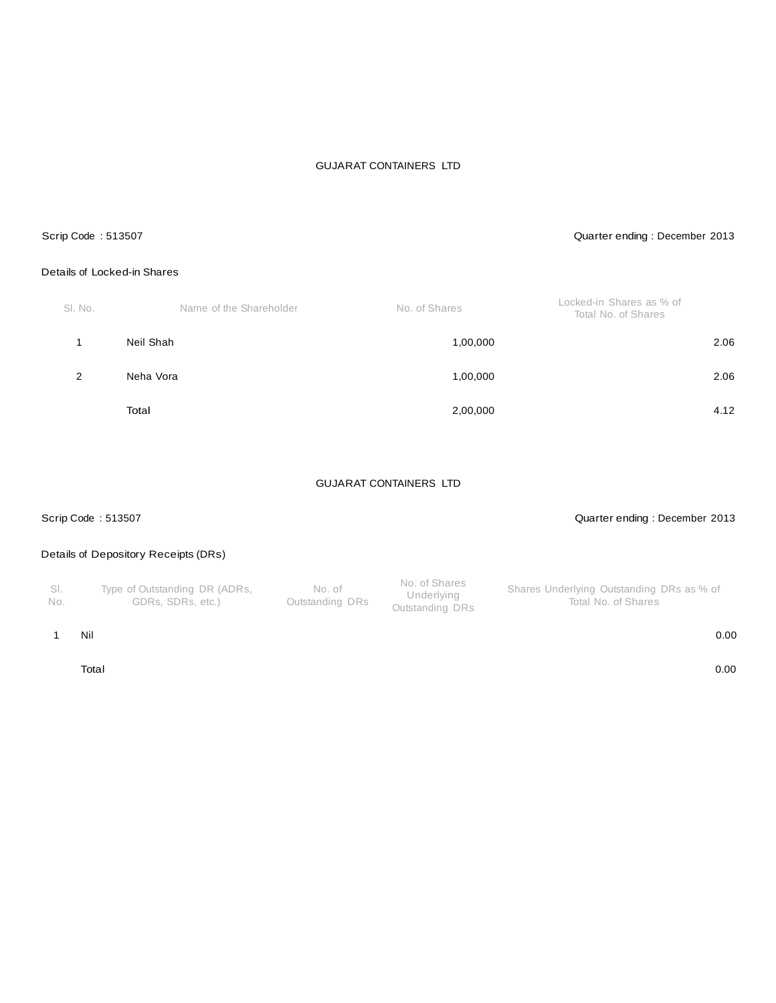#### Scrip Code : 513507 Quarter ending : December 2013

## Details of Locked-in Shares

| SI. No. | Name of the Shareholder | No. of Shares | Locked-in Shares as % of<br>Total No. of Shares |
|---------|-------------------------|---------------|-------------------------------------------------|
|         | Neil Shah               | 1,00,000      | 2.06                                            |
| 2       | Neha Vora               | 1,00,000      | 2.06                                            |
|         | Total                   | 2,00,000      | 4.12                                            |

### GUJARAT CONTAINERS LTD

#### Scrip Code : 513507 Quarter ending : December 2013

# Details of Depository Receipts (DRs)

| - SI.<br>No. | Type of Outstanding DR (ADRs,<br>GDRs, SDRs, etc.) | No. of<br>Outstanding DRs | No. of Shares<br>Underlying<br>Outstanding DRs | Shares Underlying Outstanding DRs as % of<br>Total No. of Shares |
|--------------|----------------------------------------------------|---------------------------|------------------------------------------------|------------------------------------------------------------------|
|--------------|----------------------------------------------------|---------------------------|------------------------------------------------|------------------------------------------------------------------|

#### 1 Nil 0.00

Total 0.00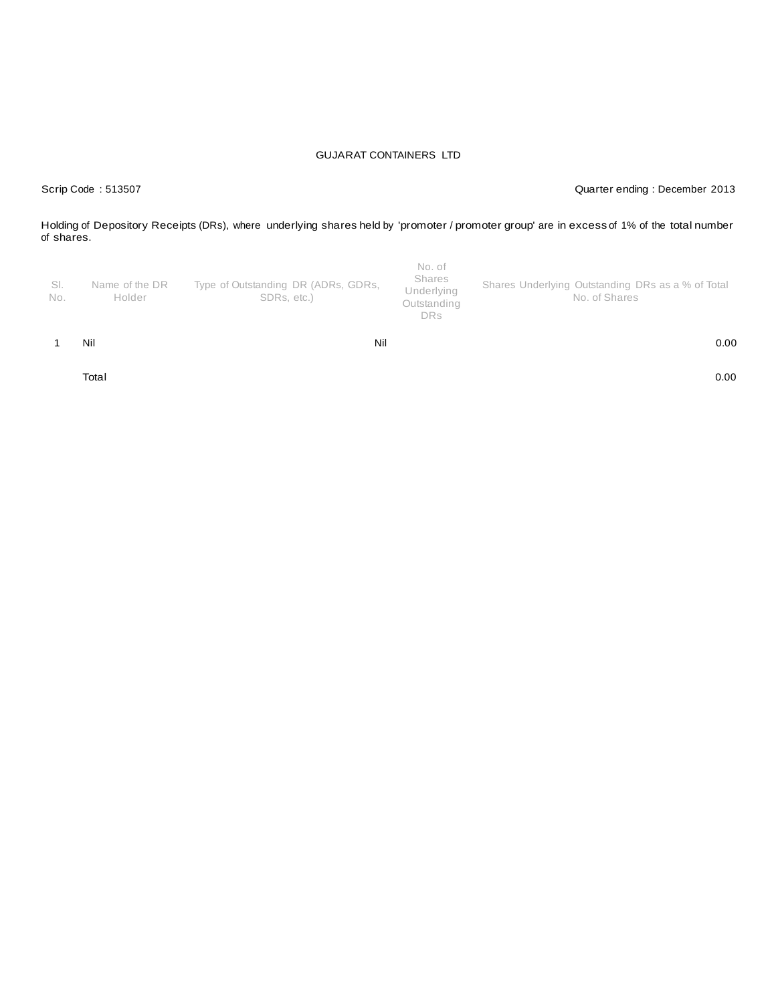Scrip Code : 513507 Quarter ending : December 2013

Holding of Depository Receipts (DRs), where underlying shares held by 'promoter / promoter group' are in excess of 1% of the total number of shares.

| -SI.<br>No. | Name of the DR<br>Holder | Type of Outstanding DR (ADRs, GDRs,<br>SDRs, etc.) | Shares<br>Underlying<br>Outstanding<br>DRs | Shares Underlying Outstanding DRs as a % of Total<br>No. of Shares |
|-------------|--------------------------|----------------------------------------------------|--------------------------------------------|--------------------------------------------------------------------|
|             | Nil                      | Nil                                                |                                            | 0.00                                                               |

Total 0.00